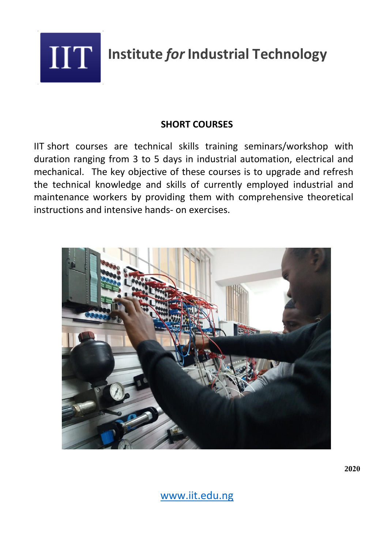**IIT Institute** *for* **Industrial Technology**

## **SHORT COURSES**

IIT short courses are technical skills training seminars/workshop with duration ranging from 3 to 5 days in industrial automation, electrical and mechanical. The key objective of these courses is to upgrade and refresh the technical knowledge and skills of currently employed industrial and maintenance workers by providing them with comprehensive theoretical instructions and intensive hands- on exercises.



**2020**

[www.iit.edu.ng](http://www.iit.edu.ng/)